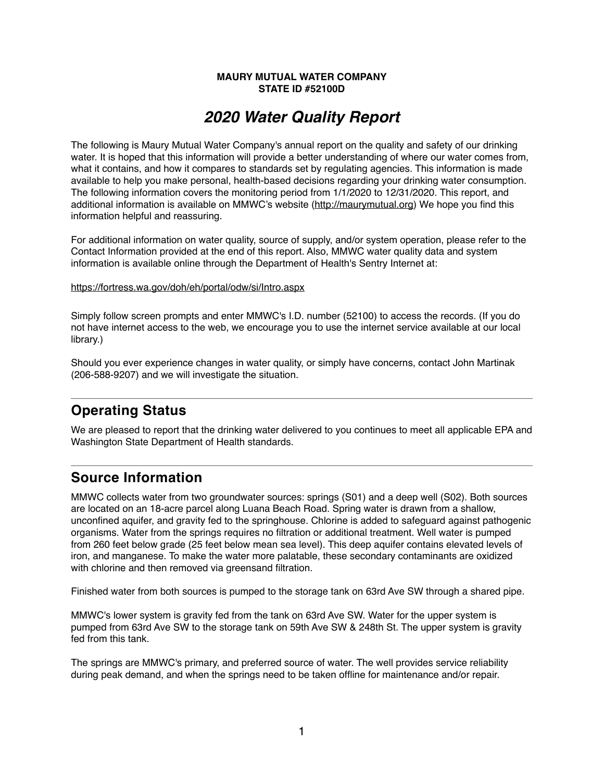#### **MAURY MUTUAL WATER COMPANY STATE ID #52100D**

# *2020 Water Quality Report*

The following is Maury Mutual Water Company's annual report on the quality and safety of our drinking water. It is hoped that this information will provide a better understanding of where our water comes from, what it contains, and how it compares to standards set by regulating agencies. This information is made available to help you make personal, health-based decisions regarding your drinking water consumption. The following information covers the monitoring period from 1/1/2020 to 12/31/2020. This report, and additional information is available on MMWC's website [\(http://maurymutual.org](http://maurymutual.org)) We hope you find this information helpful and reassuring.

For additional information on water quality, source of supply, and/or system operation, please refer to the Contact Information provided at the end of this report. Also, MMWC water quality data and system information is available online through the Department of Health's Sentry Internet at:

#### <https://fortress.wa.gov/doh/eh/portal/odw/si/Intro.aspx>

Simply follow screen prompts and enter MMWC's I.D. number (52100) to access the records. (If you do not have internet access to the web, we encourage you to use the internet service available at our local library.)

Should you ever experience changes in water quality, or simply have concerns, contact John Martinak (206-588-9207) and we will investigate the situation.

## **Operating Status**

We are pleased to report that the drinking water delivered to you continues to meet all applicable EPA and Washington State Department of Health standards.

### **Source Information**

MMWC collects water from two groundwater sources: springs (S01) and a deep well (S02). Both sources are located on an 18-acre parcel along Luana Beach Road. Spring water is drawn from a shallow, unconfined aquifer, and gravity fed to the springhouse. Chlorine is added to safeguard against pathogenic organisms. Water from the springs requires no filtration or additional treatment. Well water is pumped from 260 feet below grade (25 feet below mean sea level). This deep aquifer contains elevated levels of iron, and manganese. To make the water more palatable, these secondary contaminants are oxidized with chlorine and then removed via greensand filtration.

Finished water from both sources is pumped to the storage tank on 63rd Ave SW through a shared pipe.

MMWC's lower system is gravity fed from the tank on 63rd Ave SW. Water for the upper system is pumped from 63rd Ave SW to the storage tank on 59th Ave SW & 248th St. The upper system is gravity fed from this tank.

The springs are MMWC's primary, and preferred source of water. The well provides service reliability during peak demand, and when the springs need to be taken offline for maintenance and/or repair.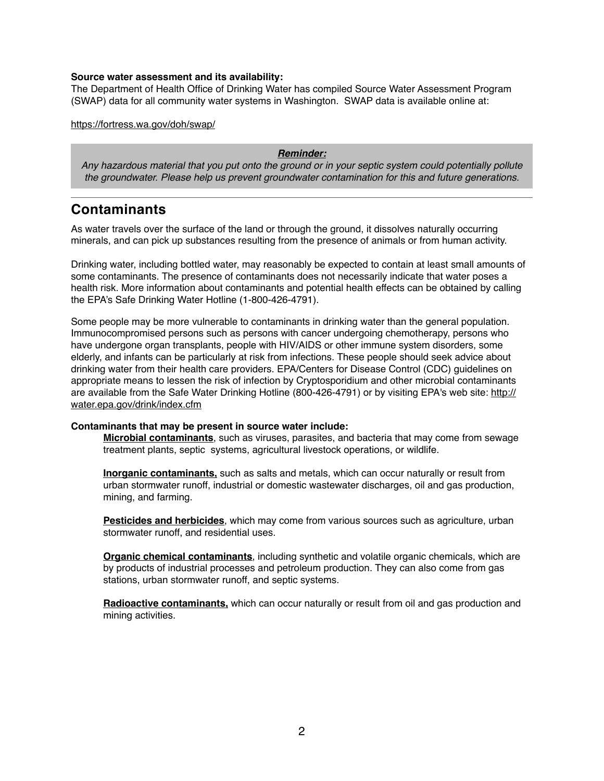#### **Source water assessment and its availability:**

The Department of Health Office of Drinking Water has compiled Source Water Assessment Program (SWAP) data for all community water systems in Washington. SWAP data is available online at:

<https://fortress.wa.gov/doh/swap/>

#### *Reminder:*

*Any hazardous material that you put onto the ground or in your septic system could potentially pollute the groundwater. Please help us prevent groundwater contamination for this and future generations.*

### **Contaminants**

As water travels over the surface of the land or through the ground, it dissolves naturally occurring minerals, and can pick up substances resulting from the presence of animals or from human activity.

Drinking water, including bottled water, may reasonably be expected to contain at least small amounts of some contaminants. The presence of contaminants does not necessarily indicate that water poses a health risk. More information about contaminants and potential health effects can be obtained by calling the EPA's Safe Drinking Water Hotline (1-800-426-4791).

Some people may be more vulnerable to contaminants in drinking water than the general population. Immunocompromised persons such as persons with cancer undergoing chemotherapy, persons who have undergone organ transplants, people with HIV/AIDS or other immune system disorders, some elderly, and infants can be particularly at risk from infections. These people should seek advice about drinking water from their health care providers. EPA/Centers for Disease Control (CDC) guidelines on appropriate means to lessen the risk of infection by Cryptosporidium and other microbial contaminants are available from the Safe Water Drinking Hotline (800-426-4791) or by visiting EPA's web site: [http://](http://water.epa.gov/drink/index.cfm) [water.epa.gov/drink/index.cfm](http://water.epa.gov/drink/index.cfm)

#### **Contaminants that may be present in source water include:**

**Microbial contaminants**, such as viruses, parasites, and bacteria that may come from sewage treatment plants, septic systems, agricultural livestock operations, or wildlife.

**Inorganic contaminants,** such as salts and metals, which can occur naturally or result from urban stormwater runoff, industrial or domestic wastewater discharges, oil and gas production, mining, and farming.

**Pesticides and herbicides**, which may come from various sources such as agriculture, urban stormwater runoff, and residential uses.

**Organic chemical contaminants**, including synthetic and volatile organic chemicals, which are by products of industrial processes and petroleum production. They can also come from gas stations, urban stormwater runoff, and septic systems.

**Radioactive contaminants,** which can occur naturally or result from oil and gas production and mining activities.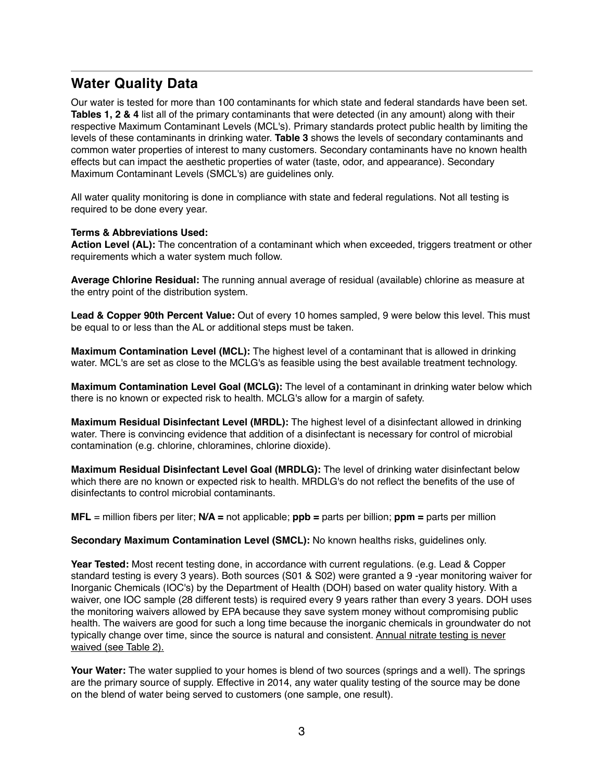### **Water Quality Data**

Our water is tested for more than 100 contaminants for which state and federal standards have been set. **Tables 1, 2 & 4** list all of the primary contaminants that were detected (in any amount) along with their respective Maximum Contaminant Levels (MCL's). Primary standards protect public health by limiting the levels of these contaminants in drinking water. **Table 3** shows the levels of secondary contaminants and common water properties of interest to many customers. Secondary contaminants have no known health effects but can impact the aesthetic properties of water (taste, odor, and appearance). Secondary Maximum Contaminant Levels (SMCL's) are guidelines only.

All water quality monitoring is done in compliance with state and federal regulations. Not all testing is required to be done every year.

#### **Terms & Abbreviations Used:**

**Action Level (AL):** The concentration of a contaminant which when exceeded, triggers treatment or other requirements which a water system much follow.

**Average Chlorine Residual:** The running annual average of residual (available) chlorine as measure at the entry point of the distribution system.

**Lead & Copper 90th Percent Value:** Out of every 10 homes sampled, 9 were below this level. This must be equal to or less than the AL or additional steps must be taken.

**Maximum Contamination Level (MCL):** The highest level of a contaminant that is allowed in drinking water. MCL's are set as close to the MCLG's as feasible using the best available treatment technology.

**Maximum Contamination Level Goal (MCLG):** The level of a contaminant in drinking water below which there is no known or expected risk to health. MCLG's allow for a margin of safety.

**Maximum Residual Disinfectant Level (MRDL):** The highest level of a disinfectant allowed in drinking water. There is convincing evidence that addition of a disinfectant is necessary for control of microbial contamination (e.g. chlorine, chloramines, chlorine dioxide).

**Maximum Residual Disinfectant Level Goal (MRDLG):** The level of drinking water disinfectant below which there are no known or expected risk to health. MRDLG's do not reflect the benefits of the use of disinfectants to control microbial contaminants.

**MFL** = million fibers per liter; **N/A =** not applicable; **ppb =** parts per billion; **ppm =** parts per million

#### **Secondary Maximum Contamination Level (SMCL):** No known healths risks, guidelines only.

**Year Tested:** Most recent testing done, in accordance with current regulations. (e.g. Lead & Copper standard testing is every 3 years). Both sources (S01 & S02) were granted a 9 -year monitoring waiver for Inorganic Chemicals (IOC's) by the Department of Health (DOH) based on water quality history. With a waiver, one IOC sample (28 different tests) is required every 9 years rather than every 3 years. DOH uses the monitoring waivers allowed by EPA because they save system money without compromising public health. The waivers are good for such a long time because the inorganic chemicals in groundwater do not typically change over time, since the source is natural and consistent. Annual nitrate testing is never waived (see Table 2).

**Your Water:** The water supplied to your homes is blend of two sources (springs and a well). The springs are the primary source of supply. Effective in 2014, any water quality testing of the source may be done on the blend of water being served to customers (one sample, one result).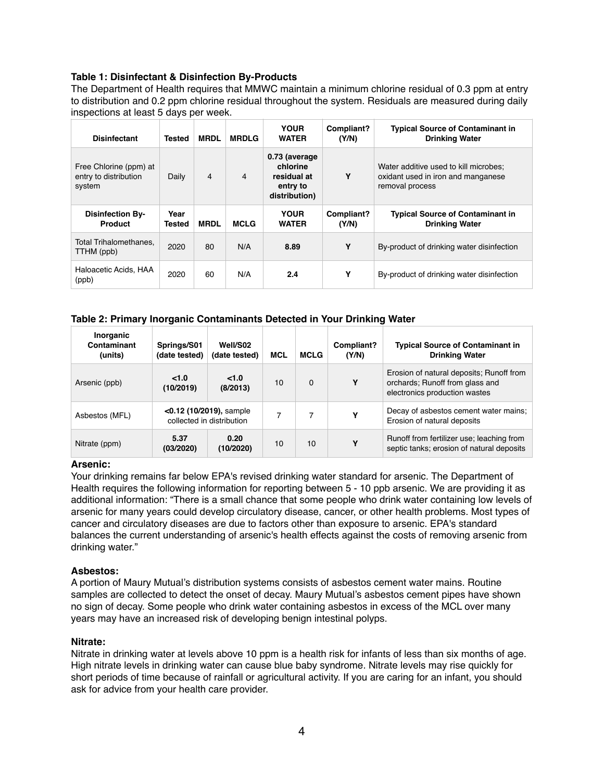#### **Table 1: Disinfectant & Disinfection By-Products**

The Department of Health requires that MMWC maintain a minimum chlorine residual of 0.3 ppm at entry to distribution and 0.2 ppm chlorine residual throughout the system. Residuals are measured during daily inspections at least 5 days per week.

| <b>Disinfectant</b>                                       | Tested         | <b>MRDL</b> | <b>MRDLG</b> | <b>YOUR</b><br><b>WATER</b>                                            | Compliant?<br>(Y/N) | <b>Typical Source of Contaminant in</b><br><b>Drinking Water</b>                               |
|-----------------------------------------------------------|----------------|-------------|--------------|------------------------------------------------------------------------|---------------------|------------------------------------------------------------------------------------------------|
| Free Chlorine (ppm) at<br>entry to distribution<br>system | Daily          | 4           | 4            | 0.73 (average)<br>chlorine<br>residual at<br>entry to<br>distribution) | Υ                   | Water additive used to kill microbes:<br>oxidant used in iron and manganese<br>removal process |
|                                                           |                |             |              |                                                                        |                     |                                                                                                |
| <b>Disinfection By-</b><br><b>Product</b>                 | Year<br>Tested | <b>MRDL</b> | <b>MCLG</b>  | <b>YOUR</b><br><b>WATER</b>                                            | Compliant?<br>(Y/N) | <b>Typical Source of Contaminant in</b><br><b>Drinking Water</b>                               |
| Total Trihalomethanes.<br>TTHM (ppb)                      | 2020           | 80          | N/A          | 8.89                                                                   | Υ                   | By-product of drinking water disinfection                                                      |

#### **Table 2: Primary Inorganic Contaminants Detected in Your Drinking Water**

| Inorganic<br>Contaminant<br>(units) | Springs/S01<br>(date tested)                            | Well/S02<br>(date tested) | <b>MCL</b> | <b>MCLG</b> | Compliant?<br>(Y/N) | <b>Typical Source of Contaminant in</b><br><b>Drinking Water</b>                                             |
|-------------------------------------|---------------------------------------------------------|---------------------------|------------|-------------|---------------------|--------------------------------------------------------------------------------------------------------------|
| Arsenic (ppb)                       | < 1.0<br>(10/2019)                                      | < 1.0<br>(8/2013)         | 10         | $\Omega$    | Υ                   | Erosion of natural deposits; Runoff from<br>orchards; Runoff from glass and<br>electronics production wastes |
| Asbestos (MFL)                      | $<$ 0.12 (10/2019), sample<br>collected in distribution |                           |            |             | Υ                   | Decay of asbestos cement water mains;<br>Erosion of natural deposits                                         |
| Nitrate (ppm)                       | 5.37<br>(03/2020)                                       | 0.20<br>(10/2020)         | 10         | 10          | Υ                   | Runoff from fertilizer use; leaching from<br>septic tanks; erosion of natural deposits                       |

#### **Arsenic:**

Your drinking remains far below EPA's revised drinking water standard for arsenic. The Department of Health requires the following information for reporting between 5 - 10 ppb arsenic. We are providing it as additional information: "There is a small chance that some people who drink water containing low levels of arsenic for many years could develop circulatory disease, cancer, or other health problems. Most types of cancer and circulatory diseases are due to factors other than exposure to arsenic. EPA's standard balances the current understanding of arsenic's health effects against the costs of removing arsenic from drinking water."

#### **Asbestos:**

A portion of Maury Mutual's distribution systems consists of asbestos cement water mains. Routine samples are collected to detect the onset of decay. Maury Mutual's asbestos cement pipes have shown no sign of decay. Some people who drink water containing asbestos in excess of the MCL over many years may have an increased risk of developing benign intestinal polyps.

#### **Nitrate:**

Nitrate in drinking water at levels above 10 ppm is a health risk for infants of less than six months of age. High nitrate levels in drinking water can cause blue baby syndrome. Nitrate levels may rise quickly for short periods of time because of rainfall or agricultural activity. If you are caring for an infant, you should ask for advice from your health care provider.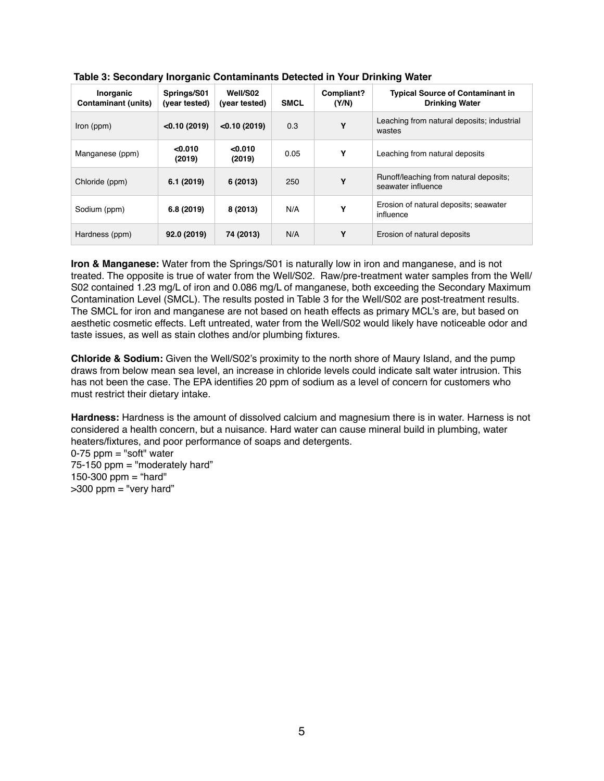| Inorganic<br><b>Contaminant (units)</b> | Springs/S01<br>(year tested) | Well/S02<br>(year tested) | <b>SMCL</b> | Compliant?<br>(Y/N) | <b>Typical Source of Contaminant in</b><br><b>Drinking Water</b> |
|-----------------------------------------|------------------------------|---------------------------|-------------|---------------------|------------------------------------------------------------------|
| Iron (ppm)                              | < 0.10(2019)                 | < 0.10(2019)              | 0.3         | Y                   | Leaching from natural deposits; industrial<br>wastes             |
| Manganese (ppm)                         | < 0.010<br>(2019)            | < 0.010<br>(2019)         | 0.05        | Υ                   | Leaching from natural deposits                                   |
| Chloride (ppm)                          | 6.1(2019)                    | 6(2013)                   | 250         | Υ                   | Runoff/leaching from natural deposits;<br>seawater influence     |
| Sodium (ppm)                            | 6.8 (2019)                   | 8 (2013)                  | N/A         | Υ                   | Erosion of natural deposits; seawater<br>influence               |
| Hardness (ppm)                          | 92.0 (2019)                  | 74 (2013)                 | N/A         | Υ                   | Erosion of natural deposits                                      |

| Table 3: Secondary Inorganic Contaminants Detected in Your Drinking Water |
|---------------------------------------------------------------------------|
|---------------------------------------------------------------------------|

**Iron & Manganese:** Water from the Springs/S01 is naturally low in iron and manganese, and is not treated. The opposite is true of water from the Well/S02. Raw/pre-treatment water samples from the Well/ S02 contained 1.23 mg/L of iron and 0.086 mg/L of manganese, both exceeding the Secondary Maximum Contamination Level (SMCL). The results posted in Table 3 for the Well/S02 are post-treatment results. The SMCL for iron and manganese are not based on heath effects as primary MCL's are, but based on aesthetic cosmetic effects. Left untreated, water from the Well/S02 would likely have noticeable odor and taste issues, as well as stain clothes and/or plumbing fixtures.

**Chloride & Sodium:** Given the Well/S02's proximity to the north shore of Maury Island, and the pump draws from below mean sea level, an increase in chloride levels could indicate salt water intrusion. This has not been the case. The EPA identifies 20 ppm of sodium as a level of concern for customers who must restrict their dietary intake.

**Hardness:** Hardness is the amount of dissolved calcium and magnesium there is in water. Harness is not considered a health concern, but a nuisance. Hard water can cause mineral build in plumbing, water heaters/fixtures, and poor performance of soaps and detergents.

 $0-75$  ppm = "soft" water 75-150 ppm = "moderately hard" 150-300 ppm = "hard"  $>300$  ppm = "very hard"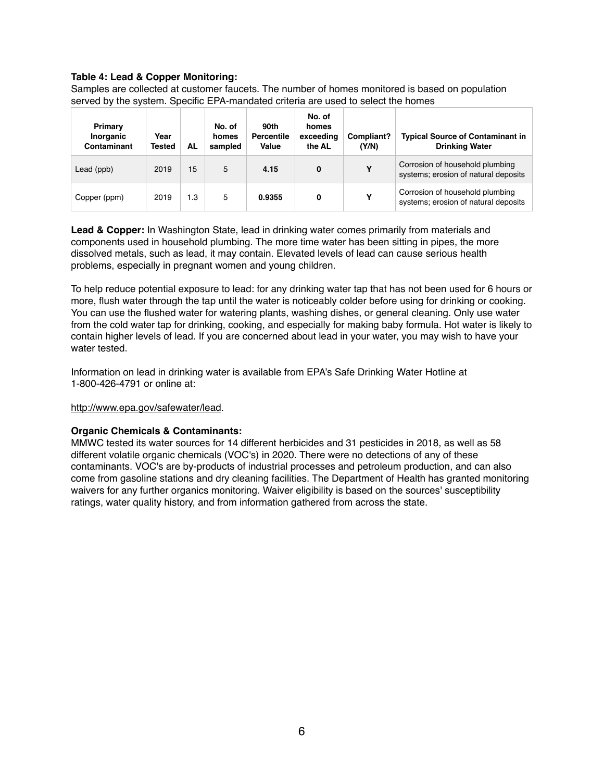#### **Table 4: Lead & Copper Monitoring:**

Samples are collected at customer faucets. The number of homes monitored is based on population served by the system. Specific EPA-mandated criteria are used to select the homes

| Primary<br>Inorganic<br>Contaminant | Year<br><b>Tested</b> | AL  | No. of<br>homes<br>sampled | 90th<br><b>Percentile</b><br>Value | No. of<br>homes<br>exceeding<br>the AL | Compliant?<br>(Y/N) | <b>Typical Source of Contaminant in</b><br><b>Drinking Water</b>        |
|-------------------------------------|-----------------------|-----|----------------------------|------------------------------------|----------------------------------------|---------------------|-------------------------------------------------------------------------|
| Lead (ppb)                          | 2019                  | 15  | 5                          | 4.15                               | 0                                      | Υ                   | Corrosion of household plumbing<br>systems; erosion of natural deposits |
| Copper (ppm)                        | 2019                  | 1.3 | 5                          | 0.9355                             | 0                                      | Υ                   | Corrosion of household plumbing<br>systems; erosion of natural deposits |

**Lead & Copper:** In Washington State, lead in drinking water comes primarily from materials and components used in household plumbing. The more time water has been sitting in pipes, the more dissolved metals, such as lead, it may contain. Elevated levels of lead can cause serious health problems, especially in pregnant women and young children.

To help reduce potential exposure to lead: for any drinking water tap that has not been used for 6 hours or more, flush water through the tap until the water is noticeably colder before using for drinking or cooking. You can use the flushed water for watering plants, washing dishes, or general cleaning. Only use water from the cold water tap for drinking, cooking, and especially for making baby formula. Hot water is likely to contain higher levels of lead. If you are concerned about lead in your water, you may wish to have your water tested.

Information on lead in drinking water is available from EPA's Safe Drinking Water Hotline at 1-800-426-4791 or online at:

#### <http://www.epa.gov/safewater/lead>.

#### **Organic Chemicals & Contaminants:**

MMWC tested its water sources for 14 different herbicides and 31 pesticides in 2018, as well as 58 different volatile organic chemicals (VOC's) in 2020. There were no detections of any of these contaminants. VOC's are by-products of industrial processes and petroleum production, and can also come from gasoline stations and dry cleaning facilities. The Department of Health has granted monitoring waivers for any further organics monitoring. Waiver eligibility is based on the sources' susceptibility ratings, water quality history, and from information gathered from across the state.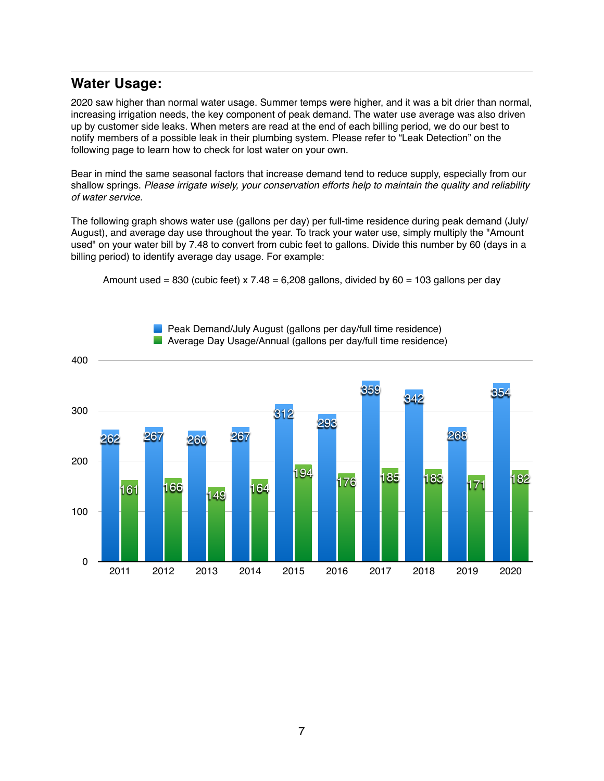### **Water Usage:**

2020 saw higher than normal water usage. Summer temps were higher, and it was a bit drier than normal, increasing irrigation needs, the key component of peak demand. The water use average was also driven up by customer side leaks. When meters are read at the end of each billing period, we do our best to notify members of a possible leak in their plumbing system. Please refer to "Leak Detection" on the following page to learn how to check for lost water on your own.

Bear in mind the same seasonal factors that increase demand tend to reduce supply, especially from our shallow springs. *Please irrigate wisely, your conservation efforts help to maintain the quality and reliability of water service.* 

The following graph shows water use (gallons per day) per full-time residence during peak demand (July/ August), and average day use throughout the year. To track your water use, simply multiply the "Amount used" on your water bill by 7.48 to convert from cubic feet to gallons. Divide this number by 60 (days in a billing period) to identify average day usage. For example:

Amount used = 830 (cubic feet)  $x \, 7.48 = 6,208$  gallons, divided by 60 = 103 gallons per day